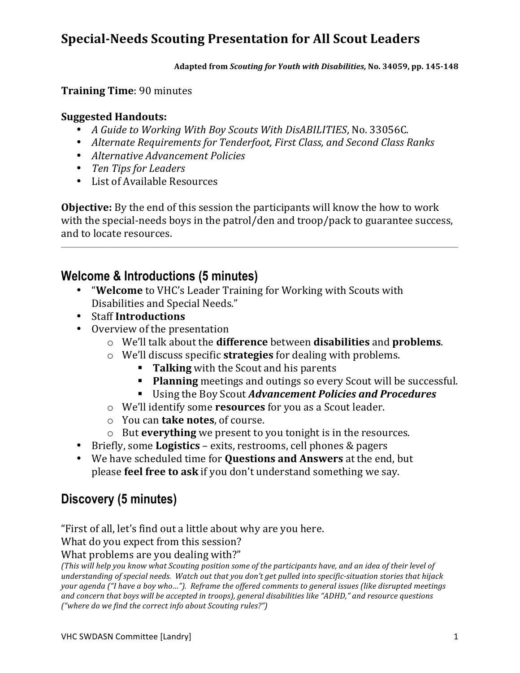Adapted from *Scouting for Youth with Disabilities, No.* 34059, pp. 145-148

#### **Training Time: 90 minutes**

#### **Suggested,Handouts:,**

- *A Guide to Working With Boy Scouts With DisABILITIES*, No. 33056C.
- Alternate Requirements for Tenderfoot, First Class, and Second Class Ranks
- *Alternative Advancement Policies*
- Ten Tips for Leaders
- List of Available Resources

**Objective:** By the end of this session the participants will know the how to work with the special-needs boys in the patrol/den and troop/pack to guarantee success, and to locate resources.

### **Welcome & Introductions (5 minutes)**

- "Welcome to VHC's Leader Training for Working with Scouts with Disabilities and Special Needs."
- Staff Introductions
- Overview of the presentation
	- o We'll"talk"about"the"**difference**"between"**disabilities**"and"**problems**.
	- o We'll discuss specific **strategies** for dealing with problems.
		- **Talking** with the Scout and his parents
		- **Planning** meetings and outings so every Scout will be successful.
		- Using"the"Boy"Scout"*Advancement)Policies)and)Procedures*
	- $\circ$  We'll identify some **resources** for you as a Scout leader.
	- $\circ$  You can **take notes**, of course.
	- o But **everything** we present to you tonight is in the resources.
- Briefly, some **Logistics** exits, restrooms, cell phones & pagers
- We have scheduled time for **Questions and Answers** at the end, but please **feel free to ask** if you don't understand something we say.

### **Discovery (5 minutes)**

"First of all, let's find out a little about why are you here.

What do you expect from this session?

What problems are you dealing with?"

*(This"will"help"you"know"what"Scouting"position"some"of"the"participants"have,"and"an"idea"of"their"level"of"* understanding of special needs. Watch out that you don't get pulled into specific-situation stories that hijack your agenda ("I have a boy who..."). Reframe the offered comments to general issues (like disrupted meetings") and concern that boys will be accepted in troops), general disabilities like "ADHD," and resource questions *("where do we find the correct info about Scouting rules?")*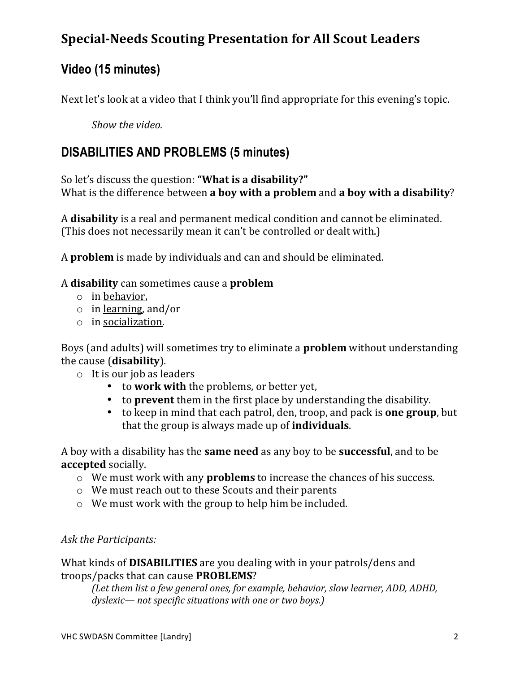# **Video (15 minutes)**

Next let's look at a video that I think you'll find appropriate for this evening's topic.

*Show the video.* 

### **DISABILITIES AND PROBLEMS (5 minutes)**

So let's discuss the question: "What is a disability?" What is the difference between **a boy with a problem** and **a boy with a disability**?

A **disability** is a real and permanent medical condition and cannot be eliminated. (This does not necessarily mean it can't be controlled or dealt with.)

A **problem** is made by individuals and can and should be eliminated.

#### A"**disability**"can"sometimes cause"a"**problem**

- $\circ$  in behavior,
- $\circ$  in learning, and/or
- $\circ$  in socialization.

Boys (and adults) will sometimes try to eliminate a **problem** without understanding the cause (**disability**).

- $\circ$  It is our job as leaders
	- to work with the problems, or better yet,
	- to **prevent** them in the first place by understanding the disability.
	- to keep in mind that each patrol, den, troop, and pack is **one group**, but that the group is always made up of **individuals**.

A boy with a disability has the **same need** as any boy to be **successful**, and to be **accepted** socially.

- o We must work with any **problems** to increase the chances of his success.
- $\circ$  We must reach out to these Scouts and their parents
- $\circ$  We must work with the group to help him be included.

#### Ask the Participants:

What kinds of **DISABILITIES** are you dealing with in your patrols/dens and troops/packs that can cause **PROBLEMS**?

*(Let them list a few general ones, for example, behavior, slow learner, ADD, ADHD,* dyslexic— not specific situations with one or two boys.)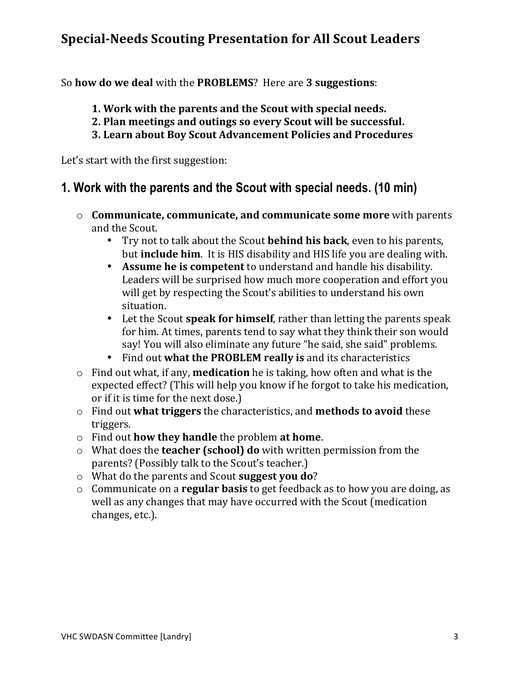So"**how,do,we,deal**"with"the **PROBLEMS**?""Here"are"**3,suggestions**:

- 1. Work with the parents and the Scout with special needs.
- **2. Plan meetings and outings so every Scout will be successful.**
- **3.,Learn,about,Boy,Scout,Advancement,Policies,and,Procedures**

Let's start with the first suggestion:

### **1. Work with the parents and the Scout with special needs. (10 min)**

- o **Communicate, communicate, and communicate some more** with parents and the Scout.
	- Try not to talk about the Scout **behind his back**, even to his parents, but **include him**. It is HIS disability and HIS life you are dealing with.
	- Assume he is competent to understand and handle his disability. Leaders will be surprised how much more cooperation and effort you will get by respecting the Scout's abilities to understand his own situation.
	- Let the Scout **speak for himself**, rather than letting the parents speak for him. At times, parents tend to say what they think their son would say! You will also eliminate any future "he said, she said" problems.
	- Find out what the PROBLEM really is and its characteristics
- $\circ$  Find out what, if any, **medication** he is taking, how often and what is the expected effect? (This will help you know if he forgot to take his medication, or if it is time for the next dose.)
- o Find"out"**what triggers**"the"characteristics,"and **methods,to,avoid**"these" triggers.
- o Find"out"**how,they,handle**"the"problem"**at,home**.
- o What does the **teacher (school) do** with written permission from the parents? (Possibly talk to the Scout's teacher.)
- o What do the parents and Scout **suggest you do**?
- o Communicate on a **regular basis** to get feedback as to how you are doing, as well as any changes that may have occurred with the Scout (medication changes, etc.).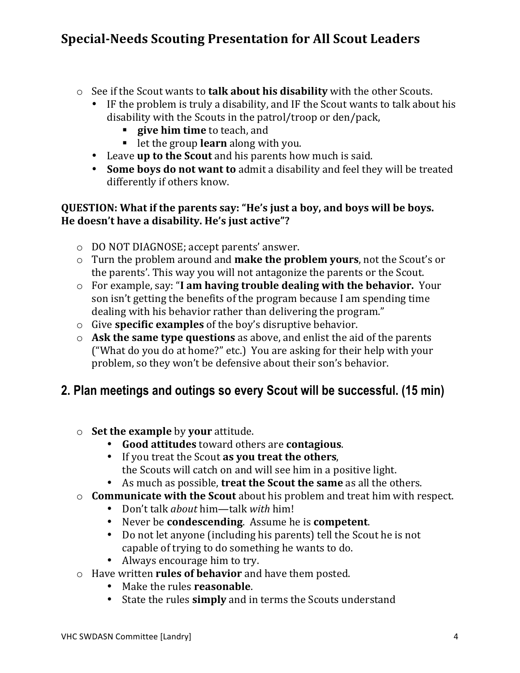- o See if the Scout wants to **talk about his disability** with the other Scouts.
	- IF the problem is truly a disability, and IF the Scout wants to talk about his disability with the Scouts in the patrol/troop or den/pack,
		- **give him time** to teach, and
		- **-** let the group **learn** along with you.
	- Leave **up to the Scout** and his parents how much is said.
	- **Some boys do not want to** admit a disability and feel they will be treated differently if others know.

#### **QUESTION: What if the parents say: "He's just a boy, and boys will be boys. He,doesn't,have,a,disability.,He's,just active"?**

- o DO NOT DIAGNOSE; accept parents' answer.
- o Turn the problem around and **make the problem yours**, not the Scout's or the parents'. This way you will not antagonize the parents or the Scout.
- o For"example,"say:""**I,am,having trouble,dealing with,the,behavior.** Your" son isn't getting the benefits of the program because I am spending time dealing with his behavior rather than delivering the program."
- o Give **specific examples** of the boy's disruptive behavior.
- o **Ask the same type questions** as above, and enlist the aid of the parents ("What do you do at home?" etc.) You are asking for their help with your problem, so they won't be defensive about their son's behavior.

### **2. Plan meetings and outings so every Scout will be successful. (15 min)**

- $\circ$  **Set the example** by your attitude.
	- Good attitudes toward others are contagious.
	- If you treat the Scout **as you treat the others**, the Scouts will catch on and will see him in a positive light.
	- As much as possible, treat the Scout the same as all the others.
- o **Communicate with the Scout** about his problem and treat him with respect.
	- Don't talk *about* him—talk with him!
	- Never be **condescending**. Assume he is **competent**.
	- Do not let anyone (including his parents) tell the Scout he is not capable of trying to do something he wants to do.
	- Always encourage him to try.
- o Have"written"**rules,of,behavior**"and"have"them posted.
	- Make the rules **reasonable**.
	- State the rules **simply** and in terms the Scouts understand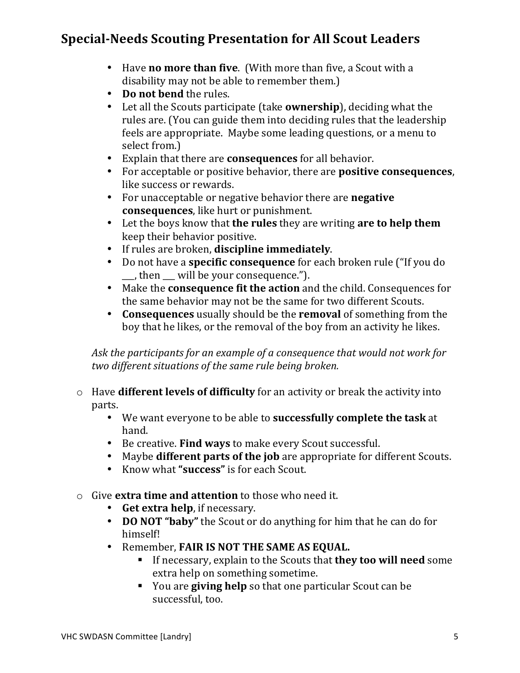- Have **no more than five**. (With more than five, a Scout with a disability may not be able to remember them.)
- **Do not bend** the rules.
- Let all the Scouts participate (take **ownership**), deciding what the rules are. (You can guide them into deciding rules that the leadership" feels are appropriate. Maybe some leading questions, or a menu to select from.)
- Explain that there are **consequences** for all behavior.
- For acceptable or positive behavior, there are **positive consequences**, like success or rewards.
- For unacceptable or negative behavior there are **negative consequences**, like hurt or punishment.
- Let the boys know that **the rules** they are writing **are to help them** keep their behavior positive.
- If rules are broken, **discipline immediately**.
- Do not have a **specific consequence** for each broken rule ("If you do"  $\Box$ , then  $\Box$  will be your consequence.").
- Make the **consequence fit the action** and the child. Consequences for the same behavior may not be the same for two different Scouts.
- **Consequences** usually should be the **removal** of something from the boy that he likes, or the removal of the boy from an activity he likes.

Ask the participants for an example of a consequence that would not work for *two different"situations"of"the"same"rule"being"broken.*

- o Have **different levels of difficulty** for an activity or break the activity into parts.
	- We want everyone to be able to **successfully complete the task** at hand."
	- Be creative. **Find ways** to make every Scout successful.
	- Maybe **different parts of the job** are appropriate for different Scouts.
	- Know what "success" is for each Scout.
- o Give **extra time and attention** to those who need it.
	- **Get extra help**, if necessary.
	- **DO NOT "baby"** the Scout or do anything for him that he can do for himself!
	- Remember, **FAIR IS NOT THE SAME AS EQUAL.** 
		- If necessary, explain to the Scouts that **they too will need** some extra help on something sometime.
		- You are **giving help** so that one particular Scout can be successful, too.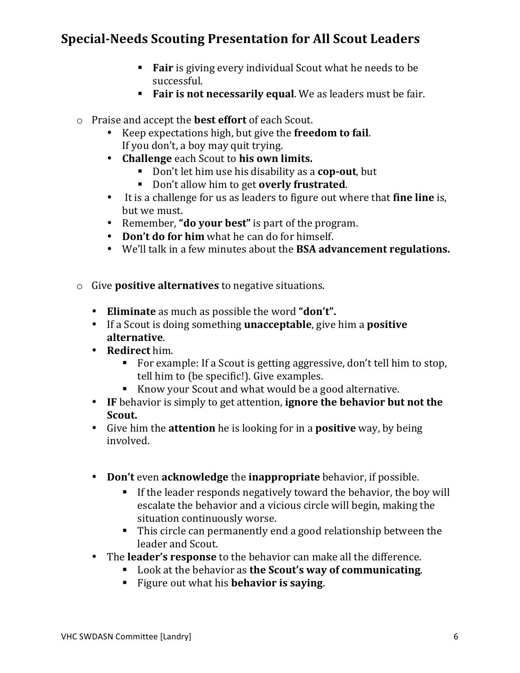- Fair is giving every individual Scout what he needs to be successful.
- **Fair is not necessarily equal.** We as leaders must be fair.
- o Praise and accept the **best effort** of each Scout.
	- Keep expectations high, but give the **freedom to fail**. If you don't, a boy may quit trying.
	- **Challenge** each Scout to **his own limits.** 
		- Don't let him use his disability as a **cop-out**, but
		- Don't allow him to get **overly frustrated**.
	- It is a challenge for us as leaders to figure out where that **fine line** is, but we must.
	- Remember, "**do your best**" is part of the program.
	- Don't do for him what he can do for himself.
	- We'll talk in a few minutes about the **BSA advancement regulations.**
- o Give **positive alternatives** to negative situations.
	- Eliminate as much as possible the word "don't".
	- If a Scout is doing something **unacceptable**, give him a **positive alternative**.
	- **Redirect** him.
		- For example: If a Scout is getting aggressive, don't tell him to stop, tell him to (be specific!). Give examples.
		- Know your Scout and what would be a good alternative.
	- IF behavior is simply to get attention, **ignore the behavior but not the Scout.**
	- Give him the **attention** he is looking for in a **positive** way, by being involved.
	- Don't even acknowledge the inappropriate behavior, if possible.
		- If the leader responds negatively toward the behavior, the boy will escalate the behavior and a vicious circle will begin, making the situation continuously worse.
		- $\blacksquare$  This circle can permanently end a good relationship between the leader and Scout.
	- The **leader's response** to the behavior can make all the difference.
		- **EXECUTE:** Look at the behavior as the Scout's way of communicating.
		- Figure out what his **behavior is saying.**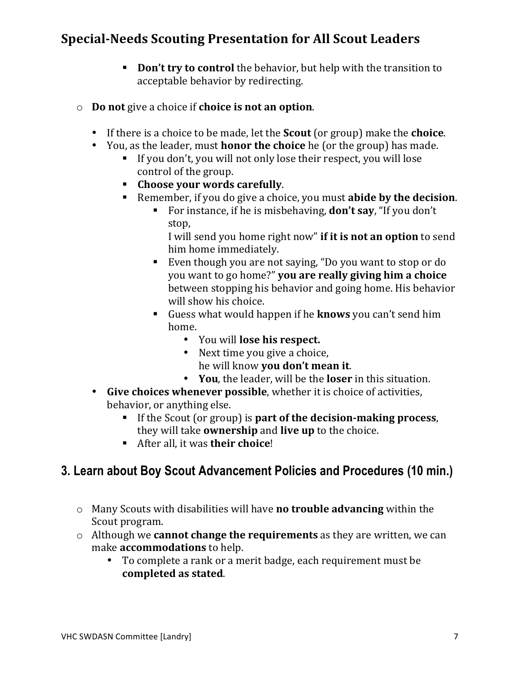- **Don't try to control** the behavior, but help with the transition to acceptable behavior by redirecting.
- o **Do not** give a choice if **choice** is not an option.
	- If there is a choice to be made, let the **Scout** (or group) make the **choice**.
	- You, as the leader, must **honor the choice** he (or the group) has made.
		- If you don't, you will not only lose their respect, you will lose control of the group.
		- **Choose your words carefully.**
		- Remember, if you do give a choice, you must **abide by the decision**.
			- For instance, if he is misbehaving, **don't say**, "If you don't" stop,

I will send you home right now" if it is not an option to send him home immediately.

- Even though you are not saying, "Do you want to stop or do" you"want"to"go"home?""**you,are,really giving,him,a,choice** between stopping his behavior and going home. His behavior will show his choice.
- Guess what would happen if he **knows** you can't send him home.
	- You will **lose his respect.**
	- Next time you give a choice, he"will"know"**you,don't,mean it**.
	- You, the leader, will be the **loser** in this situation.
- Give choices whenever possible, whether it is choice of activities, behavior, or anything else.
	- If the Scout (or group) is **part of the decision-making process**, they will take **ownership** and **live up** to the choice.
	- **EXECUTE:** After all, it was **their choice**!

### **3. Learn about Boy Scout Advancement Policies and Procedures (10 min.)**

- o Many"Scouts"with"disabilities"will"have"**no,trouble advancing**"within"the" Scout program.
- o Although we **cannot change the requirements** as they are written, we can make **accommodations** to help.
	- To complete a rank or a merit badge, each requirement must be completed as stated.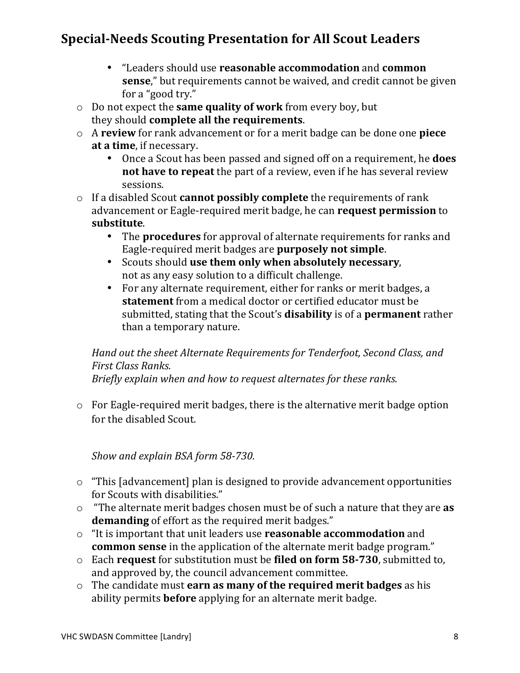- "Leaders"should"use"**reasonable,accommodation**"and"**common, sense**," but requirements cannot be waived, and credit cannot be given for a "good try."
- o Do"not"expect"the"**same quality,of,work** from"every"boy,"but" they should **complete all the requirements**.
- o A"**review**"for"rank"advancement"or"for"a"merit badge"can"be"done"one"**piece,** at a time, if necessary.
	- Once a Scout has been passed and signed off on a requirement, he **does not have to repeat** the part of a review, even if he has several review sessions.
- o If a disabled Scout **cannot possibly complete** the requirements of rank advancement or Eagle-required merit badge, he can **request permission** to **substitute**."
	- The **procedures** for approval of alternate requirements for ranks and Eagle-required merit badges are **purposely not simple**.
	- Scouts"should"**use them,only,when,absolutely,necessary**, not as any easy solution to a difficult challenge.
	- For any alternate requirement, either for ranks or merit badges, a **statement** from a medical doctor or certified educator must be submitted, stating that the Scout's **disability** is of a **permanent** rather than a temporary nature.

#### *Hand out the sheet Alternate Requirements for Tenderfoot, Second Class, and First"Class"Ranks."*

*Briefly explain"when"and"how"to"request"alternates"for"these ranks.*

 $\circ$  For Eagle-required merit badges, there is the alternative merit badge option for the disabled Scout.

*Show and explain BSA form 58-730.* 

- $\circ$  "This [advancement] plan is designed to provide advancement opportunities" for Scouts with disabilities."
- o "The alternate merit badges chosen must be of such a nature that they are **as demanding** of effort as the required merit badges."
- o "It is important that unit leaders use **reasonable accommodation** and **common sense** in the application of the alternate merit badge program."
- o Each"**request** for"substitution"must"be"**filed,on,form,58(730**,"submitted to," and approved by, the council advancement committee.
- o The candidate must **earn as many of the required merit badges** as his ability permits **before** applying for an alternate merit badge.